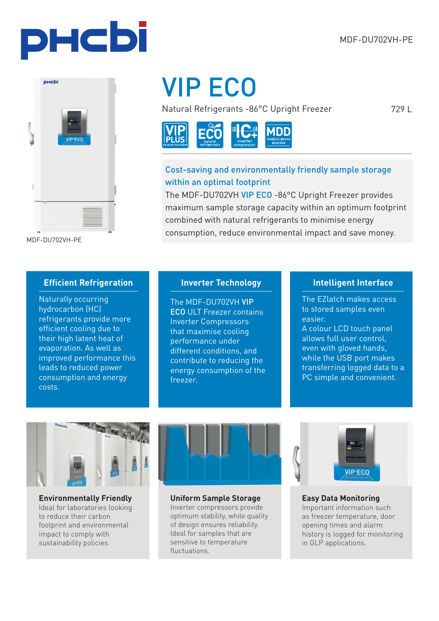729 L



MDF-DU702VH-PE

# VIP ECO

Natural Refrigerants -86°C Upright Freezer



#### Cost-saving and environmentally friendly sample storage within an optimal footprint

The MDF-DU702VH VIP ECO -86°C Upright Freezer provides maximum sample storage capacity within an optimum footprint combined with natural refrigerants to minimise energy consumption, reduce environmental impact and save money.

#### **Efficient Refrigeration**

Naturally occurring hydrocarbon (HC) refrigerants provide more efficient cooling due to their high latent heat of evaporation. As well as improved performance this leads to reduced power consumption and energy costs.

#### **Inverter Technology**

The MDF-DU702VH VIP ECO ULT Freezer contains Inverter Compressors that maximise cooling performance under different conditions, and contribute to reducing the energy consumption of the freezer.

#### **Intelligent Interface**

The EZlatch makes access to stored samples even easier.

A colour LCD touch panel allows full user control, even with gloved hands, while the USB port makes transferring logged data to a PC simple and convenient.



**Environmentally Friendly** Ideal for laboratories looking to reduce their carbon footprint and environmental impact to comply with sustainability policies.



**Uniform Sample Storage**  Inverter compressors provide optimum stability, while quality of design ensures reliability. Ideal for samples that are sensitive to temperature fluctuations.



**Easy Data Monitoring** Important information such as freezer temperature, door opening times and alarm history is logged for monitoring in GLP applications.